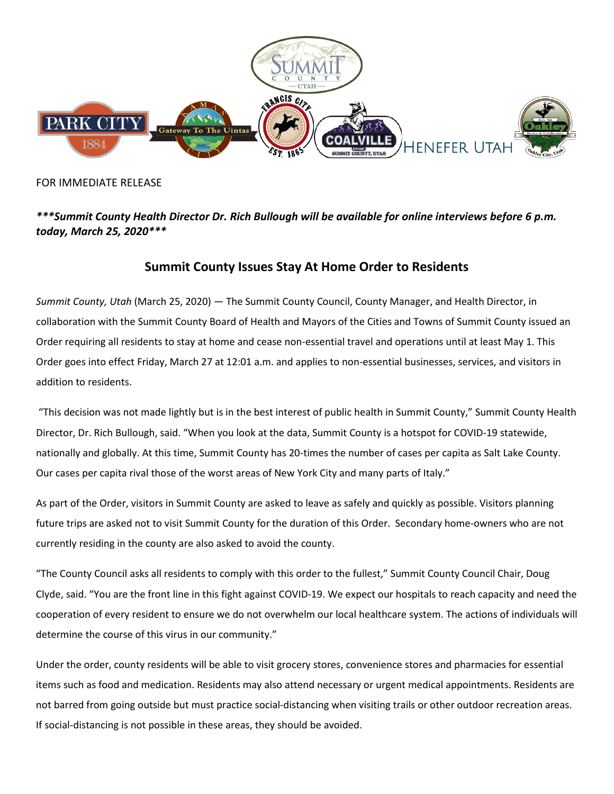

## FOR IMMEDIATE RELEASE

## *\*\*\*Summit County Health Director Dr. Rich Bullough will be available for online interviews before 6 p.m. today, March 25, 2020\*\*\**

## **Summit County Issues Stay At Home Order to Residents**

*Summit County, Utah* (March 25, 2020) — The Summit County Council, County Manager, and Health Director, in collaboration with the Summit County Board of Health and Mayors of the Cities and Towns of Summit County issued an Order requiring all residents to stay at home and cease non-essential travel and operations until at least May 1. This Order goes into effect Friday, March 27 at 12:01 a.m. and applies to non-essential businesses, services, and visitors in addition to residents.

"This decision was not made lightly but is in the best interest of public health in Summit County," Summit County Health Director, Dr. Rich Bullough, said. "When you look at the data, Summit County is a hotspot for COVID-19 statewide, nationally and globally. At this time, Summit County has 20-times the number of cases per capita as Salt Lake County. Our cases per capita rival those of the worst areas of New York City and many parts of Italy."

As part of the Order, visitors in Summit County are asked to leave as safely and quickly as possible. Visitors planning future trips are asked not to visit Summit County for the duration of this Order. Secondary home-owners who are not currently residing in the county are also asked to avoid the county.

"The County Council asks all residents to comply with this order to the fullest," Summit County Council Chair, Doug Clyde, said. "You are the front line in this fight against COVID-19. We expect our hospitals to reach capacity and need the cooperation of every resident to ensure we do not overwhelm our local healthcare system. The actions of individuals will determine the course of this virus in our community."

Under the order, county residents will be able to visit grocery stores, convenience stores and pharmacies for essential items such as food and medication. Residents may also attend necessary or urgent medical appointments. Residents are not barred from going outside but must practice social-distancing when visiting trails or other outdoor recreation areas. If social-distancing is not possible in these areas, they should be avoided.